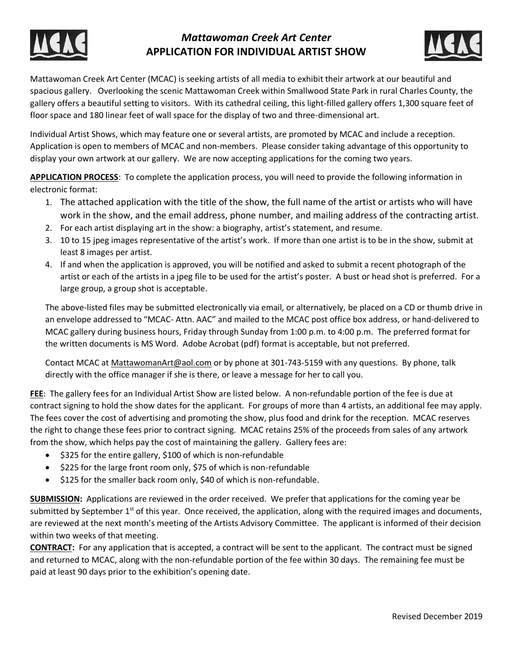

# *Mattawoman Creek Art Center* **APPLICATION FOR INDIVIDUAL ARTIST SHOW**



Mattawoman Creek Art Center (MCAC) is seeking artists of all media to exhibit their artwork at our beautiful and spacious gallery. Overlooking the scenic Mattawoman Creek within Smallwood State Park in rural Charles County, the gallery offers a beautiful setting to visitors. With its cathedral ceiling, this light-filled gallery offers 1,300 square feet of floor space and 180 linear feet of wall space for the display of two and three-dimensional art.

Individual Artist Shows, which may feature one or several artists, are promoted by MCAC and include a reception. Application is open to members of MCAC and non-members. Please consider taking advantage of this opportunity to display your own artwork at our gallery. We are now accepting applications for the coming two years.

**APPLICATION PROCESS**: To complete the application process, you will need to provide the following information in electronic format:

- 1. The attached application with the title of the show, the full name of the artist or artists who will have work in the show, and the email address, phone number, and mailing address of the contracting artist.
- 2. For each artist displaying art in the show: a biography, artist's statement, and resume.
- 3. 10 to 15 jpeg images representative of the artist's work. If more than one artist is to be in the show, submit at least 8 images per artist.
- 4. If and when the application is approved, you will be notified and asked to submit a recent photograph of the artist or each of the artists in a jpeg file to be used for the artist's poster. A bust or head shot is preferred. For a large group, a group shot is acceptable.

The above-listed files may be submitted electronically via email, or alternatively, be placed on a CD or thumb drive in an envelope addressed to "MCAC- Attn. AAC" and mailed to the MCAC post office box address, or hand-delivered to MCAC gallery during business hours, Friday through Sunday from 1:00 p.m. to 4:00 p.m. The preferred format for the written documents is MS Word. Adobe Acrobat (pdf) format is acceptable, but not preferred.

Contact MCAC at MattawomanArt@aol.com or by phone at 301-743-5159 with any questions. By phone, talk directly with the office manager if she is there, or leave a message for her to call you.

**FEE**: The gallery fees for an Individual Artist Show are listed below. A non-refundable portion of the fee is due at contract signing to hold the show dates for the applicant. For groups of more than 4 artists, an additional fee may apply. The fees cover the cost of advertising and promoting the show, plus food and drink for the reception. MCAC reserves the right to change these fees prior to contract signing. MCAC retains 25% of the proceeds from sales of any artwork from the show, which helps pay the cost of maintaining the gallery. Gallery fees are:

- \$325 for the entire gallery, \$100 of which is non-refundable
- \$225 for the large front room only, \$75 of which is non-refundable
- \$125 for the smaller back room only, \$40 of which is non-refundable.

**SUBMISSION:** Applications are reviewed in the order received. We prefer that applications for the coming year be submitted by September 1<sup>st</sup> of this year. Once received, the application, along with the required images and documents, are reviewed at the next month's meeting of the Artists Advisory Committee. The applicant is informed of their decision within two weeks of that meeting.

**CONTRACT:** For any application that is accepted, a contract will be sent to the applicant. The contract must be signed and returned to MCAC, along with the non-refundable portion of the fee within 30 days. The remaining fee must be paid at least 90 days prior to the exhibition's opening date.